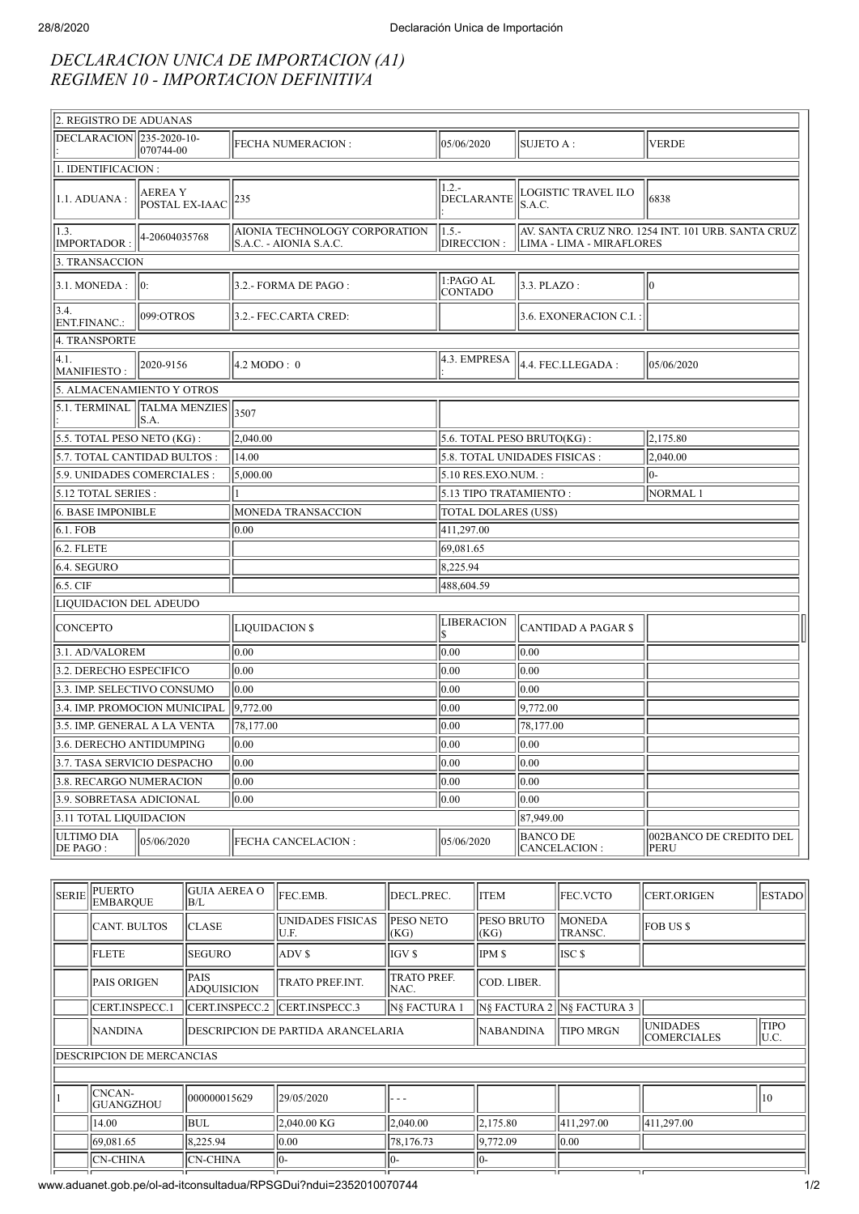## *DECLARACION UNICA DE IMPORTACION (A1) REGIMEN 10 - IMPORTACION DEFINITIVA*

| 2. REGISTRO DE ADUANAS               |                                 |                                                          |                              |                                               |                                                   |  |  |
|--------------------------------------|---------------------------------|----------------------------------------------------------|------------------------------|-----------------------------------------------|---------------------------------------------------|--|--|
| DECLARACION 235-2020-10-             | 070744-00                       | <b>FECHA NUMERACION:</b>                                 | 05/06/2020                   | SUJETO A :                                    | <b>VERDE</b>                                      |  |  |
| 1. IDENTIFICACION:                   |                                 |                                                          |                              |                                               |                                                   |  |  |
| 1.1. ADUANA :                        | <b>AEREAY</b><br>POSTAL EX-IAAC | 235                                                      | $1.2 -$<br><b>DECLARANTE</b> | LOGISTIC TRAVEL ILO<br>S.A.C.                 | 6838                                              |  |  |
| 1.3.<br>4-20604035768<br>IMPORTADOR: |                                 | AIONIA TECHNOLOGY CORPORATION<br> S.A.C. - AIONIA S.A.C. | $1.5 -$<br>DIRECCION :       | LIMA - LIMA - MIRAFLORES                      | AV. SANTA CRUZ NRO. 1254 INT. 101 URB. SANTA CRUZ |  |  |
| 3. TRANSACCION                       |                                 |                                                          |                              |                                               |                                                   |  |  |
| 3.1. MONEDA:                         | 10:                             | 3.2.- FORMA DE PAGO :                                    | 1:PAGO AL<br><b>CONTADO</b>  | $3.3.$ PLAZO:                                 | 10                                                |  |  |
| 3.4.<br>ENT.FINANC.:                 | 099:OTROS                       | 3.2.- FEC.CARTA CRED:                                    |                              | 3.6. EXONERACION C.I.                         |                                                   |  |  |
| 4. TRANSPORTE                        |                                 |                                                          |                              |                                               |                                                   |  |  |
| 4.1.<br>MANIFIESTO:                  | 2020-9156                       | $4.2 \text{ MODO}: 0$                                    | 4.3. EMPRESA                 | 4.4. FEC.LLEGADA:                             | 05/06/2020                                        |  |  |
| 5. ALMACENAMIENTO Y OTROS            |                                 |                                                          |                              |                                               |                                                   |  |  |
| 5.1. TERMINAL                        | TALMA MENZIES 3507<br>S.A.      |                                                          |                              |                                               |                                                   |  |  |
| 5.5. TOTAL PESO NETO (KG):           |                                 | 2.040.00                                                 | 5.6. TOTAL PESO BRUTO(KG):   |                                               | 2,175.80                                          |  |  |
| 5.7. TOTAL CANTIDAD BULTOS:          |                                 | 14.00                                                    |                              | 5.8. TOTAL UNIDADES FISICAS :                 | 2,040.00                                          |  |  |
| 5.9. UNIDADES COMERCIALES :          |                                 | $\sqrt{5,000.00}$                                        | 5.10 RES.EXO.NUM.:<br>10-    |                                               |                                                   |  |  |
| 5.12 TOTAL SERIES :                  |                                 |                                                          |                              | 5.13 TIPO TRATAMIENTO:<br>NORMAL <sub>1</sub> |                                                   |  |  |
| 6. BASE IMPONIBLE                    |                                 | MONEDA TRANSACCION                                       | <b>TOTAL DOLARES (US\$)</b>  |                                               |                                                   |  |  |
| 6.1. FOB                             |                                 | 0.00                                                     | 411,297.00                   |                                               |                                                   |  |  |
| $6.2.$ FLETE                         |                                 |                                                          | 69,081.65                    |                                               |                                                   |  |  |
| $6.4.$ SEGURO                        |                                 |                                                          | 8,225.94                     |                                               |                                                   |  |  |
| 6.5. CIF                             |                                 |                                                          | 488,604.59                   |                                               |                                                   |  |  |
| LIQUIDACION DEL ADEUDO               |                                 |                                                          |                              |                                               |                                                   |  |  |
| <b>CONCEPTO</b>                      |                                 | <b>LIQUIDACION \$</b>                                    | <b>LIBERACION</b><br>l\$     | CANTIDAD A PAGAR \$                           |                                                   |  |  |
| 3.1. AD/VALOREM                      |                                 | 0.00                                                     | 0.00                         | 0.00                                          |                                                   |  |  |
| 3.2. DERECHO ESPECIFICO              |                                 | 0.00                                                     | 0.00                         | 0.00                                          |                                                   |  |  |
| 3.3. IMP. SELECTIVO CONSUMO          |                                 | 0.00                                                     | 0.00                         | 0.00                                          |                                                   |  |  |
|                                      | 3.4. IMP. PROMOCION MUNICIPAL   | 9,772.00                                                 | 0.00                         | 9,772.00                                      |                                                   |  |  |
| 3.5. IMP. GENERAL A LA VENTA         |                                 | 78,177.00                                                | 0.00                         | 78,177.00                                     |                                                   |  |  |
| 3.6. DERECHO ANTIDUMPING             |                                 | 0.00                                                     | 0.00                         | 0.00                                          |                                                   |  |  |
| 3.7. TASA SERVICIO DESPACHO          |                                 | 0.00                                                     | 0.00                         | $ 0.00\rangle$                                |                                                   |  |  |
| 3.8. RECARGO NUMERACION              |                                 | 0.00                                                     | 0.00                         | 0.00                                          |                                                   |  |  |
| 3.9. SOBRETASA ADICIONAL             |                                 | 0.00                                                     | 0.00 <br>0.00                |                                               |                                                   |  |  |
| 87,949.00<br>3.11 TOTAL LIQUIDACION  |                                 |                                                          |                              |                                               |                                                   |  |  |
| ULTIMO DIA<br>DE PAGO :              | 05/06/2020                      | <b>FECHA CANCELACION:</b>                                | 05/06/2020                   | <b>BANCO DE</b><br>CANCELACION:               | 002BANCO DE CREDITO DEL<br>PERU                   |  |  |
|                                      |                                 |                                                          |                              |                                               |                                                   |  |  |

|                                  | SERIE PUERTO<br><b>EMBARQUE</b> | <b>GUIA AEREA O</b><br>B/L                 | FEC.EMB.                  | DECL.PREC.                 | <b>ITEM</b>                | FEC.VCTO                              | <b>CERT.ORIGEN</b>   | <b>ESTADO</b> |
|----------------------------------|---------------------------------|--------------------------------------------|---------------------------|----------------------------|----------------------------|---------------------------------------|----------------------|---------------|
|                                  | <b>CANT. BULTOS</b>             | <b>CLASE</b>                               | UNIDADES FISICAS<br>JU.F. | <b>PESO NETO</b><br>(KG)   | <b>PESO BRUTO</b><br>(KG)  | <b>MONEDA</b><br>TRANSC.              | <b>FOB US \$</b>     |               |
|                                  | <b>FLETE</b>                    | <b>SEGURO</b>                              | ADV \$                    | IGV \$                     | <b>IPMS</b>                | ISC <sub>\$</sub>                     |                      |               |
|                                  | <b>PAIS ORIGEN</b>              | <b>PAIS</b><br><b>ADQUISICION</b>          | <b>TRATO PREF.INT.</b>    | <b>TRATO PREF.</b><br>NAC. | COD. LIBER.                |                                       |                      |               |
|                                  | <b>CERT.INSPECC.1</b>           | ICERT.INSPECC.2 ICERT.INSPECC.3            |                           | <b>N§ FACTURA 1</b>        | IN§ FACTURA 2 N§ FACTURA 3 |                                       |                      |               |
|                                  | <b>NANDINA</b>                  | <b>IDESCRIPCION DE PARTIDA ARANCELARIA</b> |                           | <b>NABANDINA</b>           | <b>TIPO MRGN</b>           | <b>UNIDADES</b><br><b>COMERCIALES</b> | <b>TIPO</b><br>JU.C. |               |
| <b>DESCRIPCION DE MERCANCIAS</b> |                                 |                                            |                           |                            |                            |                                       |                      |               |
|                                  |                                 |                                            |                           |                            |                            |                                       |                      |               |
|                                  | CNCAN-<br><b>GUANGZHOU</b>      | 000000015629                               | 29/05/2020                |                            |                            |                                       |                      | 110           |
|                                  | 14.00                           | BUL                                        | 2,040.00 KG               | 2,040.00                   | 2,175.80                   | 411,297.00                            | 411,297.00           |               |
|                                  | 69,081.65                       | 8,225.94                                   | 0.00                      | 78,176.73                  | 9.772.09                   | 0.00                                  |                      |               |
|                                  | <b>CN-CHINA</b>                 | ICN-CHINA                                  | $10-$                     | 10-                        | 10-                        |                                       |                      |               |
|                                  |                                 |                                            |                           |                            |                            |                                       |                      |               |